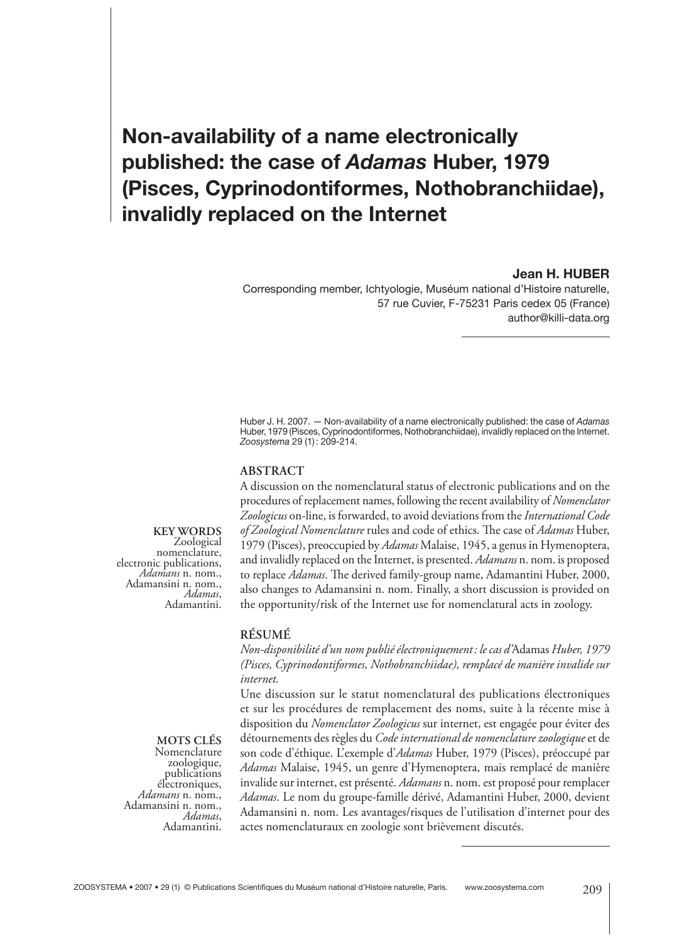# **Non-availability of a name electronically published: the case of** *Adamas* **Huber, 1979 (Pisces, Cyprinodontiformes, Nothobranchiidae), invalidly replaced on the Internet**

#### **Jean H. HUBER**

Corresponding member, Ichtyologie, Muséum national d'Histoire naturelle, 57 rue Cuvier, F-75231 Paris cedex 05 (France) author@killi-data.org

Huber J. H. 2007. — Non-availability of a name electronically published: the case of *Adamas* Huber, 1979 (Pisces, Cyprinodontiformes, Nothobranchiidae), invalidly replaced on the Internet. *Zoosystema* 29 (1) : 209-214.

#### **ABSTRACT**

A discussion on the nomenclatural status of electronic publications and on the procedures of replacement names, following the recent availability of *Nomenclator Zoologicus* on-line, is forwarded, to avoid deviations from the *International Code*  of Zoological Nomenclature rules and code of ethics. The case of *Adamas* Huber, 1979 (Pisces), preoccupied by *Adamas* Malaise, 1945, a genus in Hymenoptera, and invalidly replaced on the Internet, is presented. *Adamans* n. nom. is proposed to replace *Adamas*. The derived family-group name, Adamantini Huber, 2000, also changes to Adamansini n. nom. Finally, a short discussion is provided on the opportunity/risk of the Internet use for nomenclatural acts in zoology.

#### **RÉSUMÉ**

*Non-disponibilité d'un nom publié électroniquement : le cas d'*Adamas *Huber, 1979 (Pisces, Cyprinodontiformes, Nothobranchiidae), remplacé de manière invalide sur internet.*

Une discussion sur le statut nomenclatural des publications électroniques et sur les procédures de remplacement des noms, suite à la récente mise à disposition du *Nomenclator Zoologicus* sur internet, est engagée pour éviter des détournements des règles du *Code international de nomenclature zoologique* et de son code d'éthique. L'exemple d'*Adamas* Huber, 1979 (Pisces), préoccupé par *Adamas* Malaise, 1945, un genre d'Hymenoptera, mais remplacé de manière invalide sur internet, est présenté. *Adamans* n. nom. est proposé pour remplacer *Adamas*. Le nom du groupe-famille dérivé, Adamantini Huber, 2000, devient Adamansini n. nom. Les avantages/risques de l'utilisation d'internet pour des actes nomenclaturaux en zoologie sont brièvement discutés.

**KEY WORDS** nomenclature, electronic publications, *Adamans* n. nom., Adamansini n. nom.,<br>Adamas, Adamantini.

#### **MOTS CLÉS** Nomenclature

zoologique, publications<br>électroniques, électroniques, *Adamans* n. nom., Adamansini n. nom., *Adamas*, Adamantini.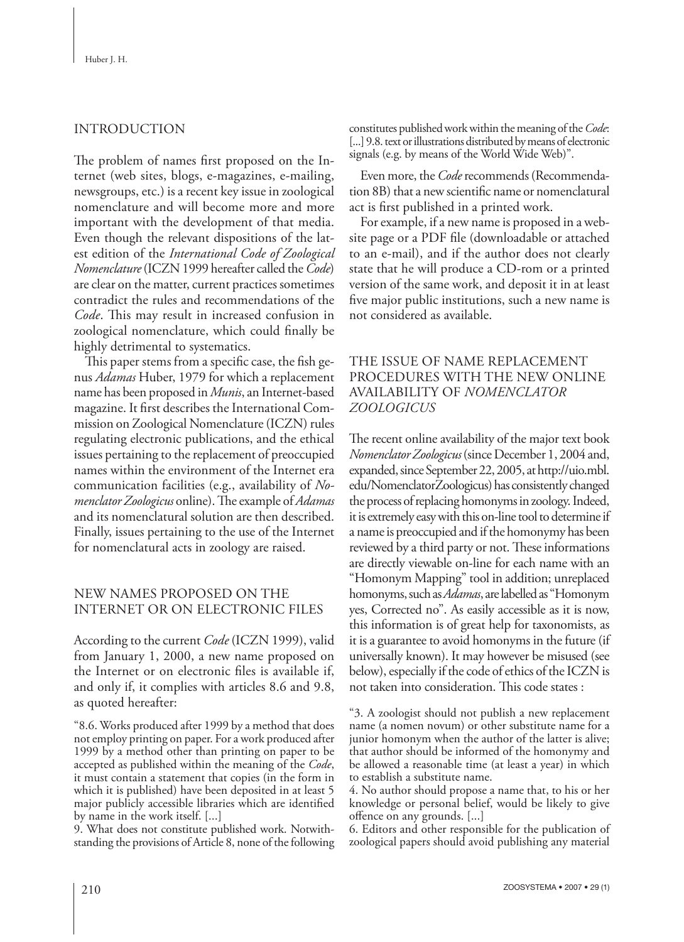# INTRODUCTION

The problem of names first proposed on the Internet (web sites, blogs, e-magazines, e-mailing, newsgroups, etc.) is a recent key issue in zoological nomenclature and will become more and more important with the development of that media. Even though the relevant dispositions of the latest edition of the *International Code of Zoological Nomenclature* (ICZN 1999 hereafter called the *Code*) are clear on the matter, current practices sometimes contradict the rules and recommendations of the Code. This may result in increased confusion in zoological nomenclature, which could finally be highly detrimental to systematics.

This paper stems from a specific case, the fish genus *Adamas* Huber, 1979 for which a replacement name has been proposed in *Munis*, an Internet-based magazine. It first describes the International Commission on Zoological Nomenclature (ICZN) rules regulating electronic publications, and the ethical issues pertaining to the replacement of preoccupied names within the environment of the Internet era communication facilities (e.g., availability of *Nomenclator Zoologicus* online). The example of *Adamas* and its nomenclatural solution are then described. Finally, issues pertaining to the use of the Internet for nomenclatural acts in zoology are raised.

# NEW NAMES PROPOSED ON THE INTERNET OR ON ELECTRONIC FILES

According to the current *Code* (ICZN 1999), valid from January 1, 2000, a new name proposed on the Internet or on electronic files is available if, and only if, it complies with articles 8.6 and 9.8, as quoted hereafter:

"8.6. Works produced after 1999 by a method that does not employ printing on paper. For a work produced after 1999 by a method other than printing on paper to be accepted as published within the meaning of the *Code*, it must contain a statement that copies (in the form in which it is published) have been deposited in at least 5 major publicly accessible libraries which are identified by name in the work itself. [...]

9. What does not constitute published work. Notwithstanding the provisions of Article 8, none of the following constitutes published work within the meaning of the *Code*: [...] 9.8. text or illustrations distributed by means of electronic signals (e.g. by means of the World Wide Web)".

Even more, the *Code* recommends (Recommendation 8B) that a new scientific name or nomenclatural act is first published in a printed work.

For example, if a new name is proposed in a website page or a PDF file (downloadable or attached to an e-mail), and if the author does not clearly state that he will produce a CD-rom or a printed version of the same work, and deposit it in at least five major public institutions, such a new name is not considered as available.

# THE ISSUE OF NAME REPLACEMENT PROCEDURES WITH THE NEW ONLINE AVAILABILITY OF *NOMENCLATOR ZOOLOGICUS*

The recent online availability of the major text book *Nomenclator Zoologicus* (since December 1, 2004 and, expanded, since September 22, 2005, at http://uio.mbl. edu/NomenclatorZoologicus) has consistently changed the process of replacing homonyms in zoology. Indeed, it is extremely easy with this on-line tool to determine if a name is preoccupied and if the homonymy has been reviewed by a third party or not. These informations are directly viewable on-line for each name with an "Homonym Mapping" tool in addition; unreplaced homonyms, such as *Adamas*, are labelled as "Homonym yes, Corrected no". As easily accessible as it is now, this information is of great help for taxonomists, as it is a guarantee to avoid homonyms in the future (if universally known). It may however be misused (see below), especially if the code of ethics of the ICZN is not taken into consideration. This code states :

"3. A zoologist should not publish a new replacement name (a nomen novum) or other substitute name for a junior homonym when the author of the latter is alive; that author should be informed of the homonymy and be allowed a reasonable time (at least a year) in which to establish a substitute name.

4. No author should propose a name that, to his or her knowledge or personal belief, would be likely to give offence on any grounds. [...]

6. Editors and other responsible for the publication of zoological papers should avoid publishing any material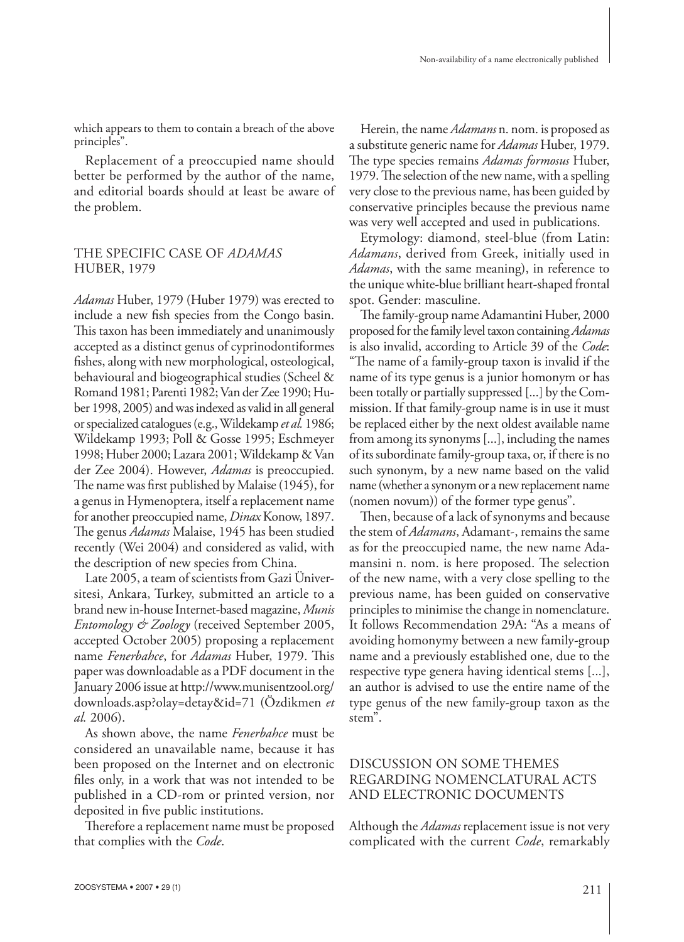which appears to them to contain a breach of the above principles".

Replacement of a preoccupied name should better be performed by the author of the name, and editorial boards should at least be aware of the problem.

## THE SPECIFIC CASE OF *ADAMAS* HUBER, 1979

*Adamas* Huber, 1979 (Huber 1979) was erected to include a new fish species from the Congo basin. This taxon has been immediately and unanimously accepted as a distinct genus of cyprinodontiformes fishes, along with new morphological, osteological, behavioural and biogeographical studies (Scheel & Romand 1981; Parenti 1982; Van der Zee 1990; Huber 1998, 2005) and was indexed as valid in all general or specialized catalogues (e.g., Wildekamp *et al.* 1986; Wildekamp 1993; Poll & Gosse 1995; Eschmeyer 1998; Huber 2000; Lazara 2001; Wildekamp & Van der Zee 2004). However, *Adamas* is preoccupied. The name was first published by Malaise (1945), for a genus in Hymenoptera, itself a replacement name for another preoccupied name, *Dinax* Konow, 1897. The genus *Adamas* Malaise, 1945 has been studied recently (Wei 2004) and considered as valid, with the description of new species from China.

Late 2005, a team of scientists from Gazi Üniversitesi, Ankara, Turkey, submitted an article to a brand new in-house Internet-based magazine, *Munis Entomology & Zoology* (received September 2005, accepted October 2005) proposing a replacement name *Fenerbahce*, for *Adamas* Huber, 1979. This paper was downloadable as a PDF document in the January 2006 issue at http://www.munisentzool.org/ downloads.asp?olay=detay&id=71 (Özdikmen *et al.* 2006).

As shown above, the name *Fenerbahce* must be considered an unavailable name, because it has been proposed on the Internet and on electronic files only, in a work that was not intended to be published in a CD-rom or printed version, nor deposited in five public institutions.

Therefore a replacement name must be proposed that complies with the *Code*.

Herein, the name *Adamans* n. nom. is proposed as a substitute generic name for *Adamas* Huber, 1979. The type species remains *Adamas formosus* Huber, 1979. The selection of the new name, with a spelling very close to the previous name, has been guided by conservative principles because the previous name was very well accepted and used in publications.

Etymology: diamond, steel-blue (from Latin: *Adamans*, derived from Greek, initially used in *Adamas*, with the same meaning), in reference to the unique white-blue brilliant heart-shaped frontal spot. Gender: masculine.

The family-group name Adamantini Huber, 2000 proposed for the family level taxon containing *Adamas* is also invalid, according to Article 39 of the *Code*: "The name of a family-group taxon is invalid if the name of its type genus is a junior homonym or has been totally or partially suppressed [...] by the Commission. If that family-group name is in use it must be replaced either by the next oldest available name from among its synonyms [...], including the names of its subordinate family-group taxa, or, if there is no such synonym, by a new name based on the valid name (whether a synonym or a new replacement name (nomen novum)) of the former type genus".

Then, because of a lack of synonyms and because the stem of *Adamans*, Adamant-, remains the same as for the preoccupied name, the new name Adamansini n. nom. is here proposed. The selection of the new name, with a very close spelling to the previous name, has been guided on conservative principles to minimise the change in nomenclature. It follows Recommendation 29A: "As a means of avoiding homonymy between a new family-group name and a previously established one, due to the respective type genera having identical stems [...], an author is advised to use the entire name of the type genus of the new family-group taxon as the stem".

# DISCUSSION ON SOME THEMES REGARDING NOMENCLATURAL ACTS AND ELECTRONIC DOCUMENTS

Although the *Adamas* replacement issue is not very complicated with the current *Code*, remarkably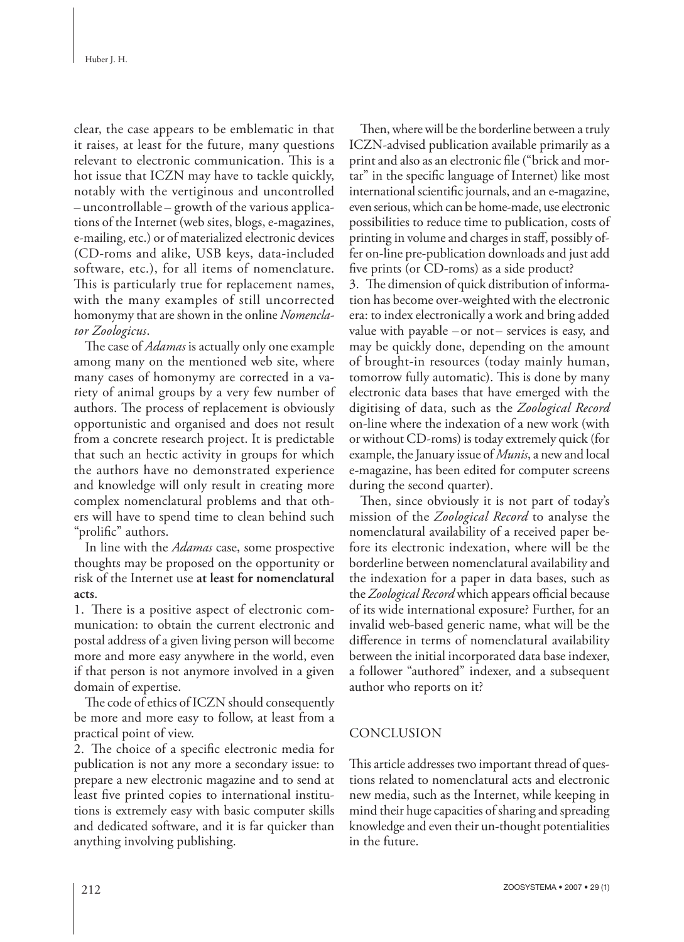clear, the case appears to be emblematic in that it raises, at least for the future, many questions relevant to electronic communication. This is a hot issue that ICZN may have to tackle quickly, notably with the vertiginous and uncontrolled – uncontrollable – growth of the various applications of the Internet (web sites, blogs, e-magazines, e-mailing, etc.) or of materialized electronic devices (CD-roms and alike, USB keys, data-included software, etc.), for all items of nomenclature. This is particularly true for replacement names, with the many examples of still uncorrected homonymy that are shown in the online *Nomenclator Zoologicus*.

The case of *Adamas* is actually only one example among many on the mentioned web site, where many cases of homonymy are corrected in a variety of animal groups by a very few number of authors. The process of replacement is obviously opportunistic and organised and does not result from a concrete research project. It is predictable that such an hectic activity in groups for which the authors have no demonstrated experience and knowledge will only result in creating more complex nomenclatural problems and that others will have to spend time to clean behind such "prolific" authors.

In line with the *Adamas* case, some prospective thoughts may be proposed on the opportunity or risk of the Internet use **at least for nomenclatural acts**.

1. There is a positive aspect of electronic communication: to obtain the current electronic and postal address of a given living person will become more and more easy anywhere in the world, even if that person is not anymore involved in a given domain of expertise.

The code of ethics of ICZN should consequently be more and more easy to follow, at least from a practical point of view.

2. The choice of a specific electronic media for publication is not any more a secondary issue: to prepare a new electronic magazine and to send at least five printed copies to international institutions is extremely easy with basic computer skills and dedicated software, and it is far quicker than anything involving publishing.

Then, where will be the borderline between a truly ICZN-advised publication available primarily as a print and also as an electronic file ("brick and mortar" in the specific language of Internet) like most international scientific journals, and an e-magazine, even serious, which can be home-made, use electronic possibilities to reduce time to publication, costs of printing in volume and charges in staff, possibly offer on-line pre-publication downloads and just add five prints (or CD-roms) as a side product?

3. The dimension of quick distribution of information has become over-weighted with the electronic era: to index electronically a work and bring added value with payable – or not – services is easy, and may be quickly done, depending on the amount of brought-in resources (today mainly human, tomorrow fully automatic). This is done by many electronic data bases that have emerged with the digitising of data, such as the *Zoological Record* on-line where the indexation of a new work (with or without CD-roms) is today extremely quick (for example, the January issue of *Munis*, a new and local e-magazine, has been edited for computer screens during the second quarter).

Then, since obviously it is not part of today's mission of the *Zoological Record* to analyse the nomenclatural availability of a received paper before its electronic indexation, where will be the borderline between nomenclatural availability and the indexation for a paper in data bases, such as the *Zoological Record* which appears official because of its wide international exposure? Further, for an invalid web-based generic name, what will be the difference in terms of nomenclatural availability between the initial incorporated data base indexer, a follower "authored" indexer, and a subsequent author who reports on it?

# CONCLUSION

This article addresses two important thread of questions related to nomenclatural acts and electronic new media, such as the Internet, while keeping in mind their huge capacities of sharing and spreading knowledge and even their un-thought potentialities in the future.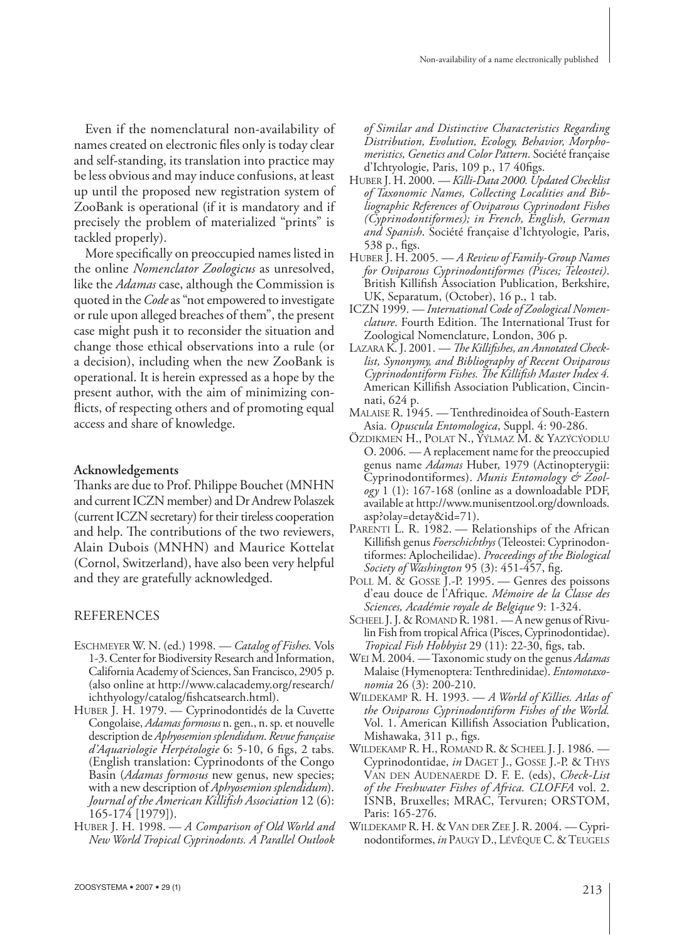Even if the nomenclatural non-availability of names created on electronic files only is today clear and self-standing, its translation into practice may be less obvious and may induce confusions, at least up until the proposed new registration system of ZooBank is operational (if it is mandatory and if precisely the problem of materialized "prints" is tackled properly).

More specifically on preoccupied names listed in the online *Nomenclator Zoologicus* as unresolved, like the *Adamas* case, although the Commission is quoted in the *Code* as "not empowered to investigate or rule upon alleged breaches of them", the present case might push it to reconsider the situation and change those ethical observations into a rule (or a decision), including when the new ZooBank is operational. It is herein expressed as a hope by the present author, with the aim of minimizing conflicts, of respecting others and of promoting equal access and share of knowledge.

#### **Acknowledgements**

Thanks are due to Prof. Philippe Bouchet (MNHN) and current ICZN member) and Dr Andrew Polaszek (current ICZN secretary) for their tireless cooperation and help. The contributions of the two reviewers, Alain Dubois (MNHN) and Maurice Kottelat (Cornol, Switzerland), have also been very helpful and they are gratefully acknowledged.

## REFERENCES

- ESCHMEYER W. N. (ed.) 1998. *Catalog of Fishes.* Vols 1-3. Center for Biodiversity Research and Information, California Academy of Sciences, San Francisco, 2905 p. (also online at http://www.calacademy.org/research/ ichthyology/catalog/fishcatsearch.html).
- HUBER J. H. 1979. Cyprinodontidés de la Cuvette Congolaise, *Adamas formosus* n. gen., n. sp. et nouvelle description de *Aphyosemion splendidum*. *Revue française d'Aquariologie Herpétologie* 6: 5-10, 6 figs, 2 tabs. (English translation: Cyprinodonts of the Congo Basin (*Adamas formosus* new genus, new species; with a new description of *Aphyosemion splendidum*). Journal of the American Killifish Association 12 (6): 165-174 [1979]).
- HUBER J. H. 1998. *A Comparison of Old World and New World Tropical Cyprinodonts. A Parallel Outlook*

*of Similar and Distinctive Characteristics Regarding Distribution, Evolution, Ecology, Behavior, Morphomeristics, Genetics and Color Pattern*. Société française d'Ichtyologie, Paris, 109 p., 17 40figs.

- HUBER J. H. 2000. *Killi-Data 2000. Updated Checklist of Taxonomic Names, Collecting Localities and Bibliographic References of Oviparous Cyprinodont Fishes (Cyprinodontiformes); in French, English, German and Spanish*. Société française d'Ichtyologie, Paris, 538 p., figs.
- HUBER J. H. 2005. *A Review of Family-Group Names for Oviparous Cyprinodontiformes (Pisces; Teleostei)*. British Killifish Association Publication, Berkshire, UK, Separatum, (October), 16 p., 1 tab.
- ICZN 1999. *International Code of Zoological Nomenclature*. Fourth Edition. The International Trust for Zoological Nomenclature, London, 306 p.
- LAZARA K. J. 2001. The Killifishes, an Annotated Check*list, Synonymy, and Bibliography of Recent Oviparous Cyprinodontiform Fishes. The Killifish Master Index 4.* American Killifish Association Publication, Cincinnati, 624 p.
- MALAISE R. 1945. Tenthredinoidea of South-Eastern Asia. *Opuscula Entomologica*, Suppl. 4: 90-286.
- ÖZDIKMEN H., POLAT N., YÝLMAZ M. & YAZÝCÝOÐLU O. 2006. — A replacement name for the preoccupied genus name *Adamas* Huber, 1979 (Actinopterygii: Cyprinodontiformes). *Munis Entomology & Zoology* 1 (1): 167-168 (online as a downloadable PDF, available at http://www.munisentzool.org/downloads. asp?olay=detay&id=71).
- PARENTI L. R. 1982. Relationships of the African Killifish genus Foerschichthys (Teleostei: Cyprinodontiformes: Aplocheilidae). *Proceedings of the Biological Society of Washington* 95 (3): 451-457, fig.
- POLL M. & GOSSE J.-P. 1995. Genres des poissons d'eau douce de l'Afrique. *Mémoire de la Classe des Sciences, Académie royale de Belgique* 9: 1-324.
- SCHEEL J. J. & ROMAND R. 1981. A new genus of Rivulin Fish from tropical Africa (Pisces, Cyprinodontidae). *Tropical Fish Hobbyist* 29 (11): 22-30, figs, tab.
- WEI M. 2004. Taxonomic study on the genus *Adamas* Malaise (Hymenoptera: Tenthredinidae). *Entomotaxonomia* 26 (3): 200-210.
- WILDEKAMP R. H. 1993. *A World of Killies. Atlas of the Oviparous Cyprinodontiform Fishes of the World.* Vol. 1. American Killifish Association Publication, Mishawaka, 311 p., figs.
- WILDEKAMP R. H., ROMAND R. & SCHEEL J. J. 1986. Cyprinodontidae, *in* DAGET J., GOSSE J.-P. & THYS VAN DEN AUDENAERDE D. F. E. (eds), *Check-List of the Freshwater Fishes of Africa. CLOFFA* vol. 2. ISNB, Bruxelles; MRAC, Tervuren; ORSTOM, Paris: 165-276.
- WILDEKAMP R. H. & VAN DER ZEE J. R. 2004. Cyprinodontiformes, *in* PAUGY D., LÉVÊQUE C. & TEUGELS